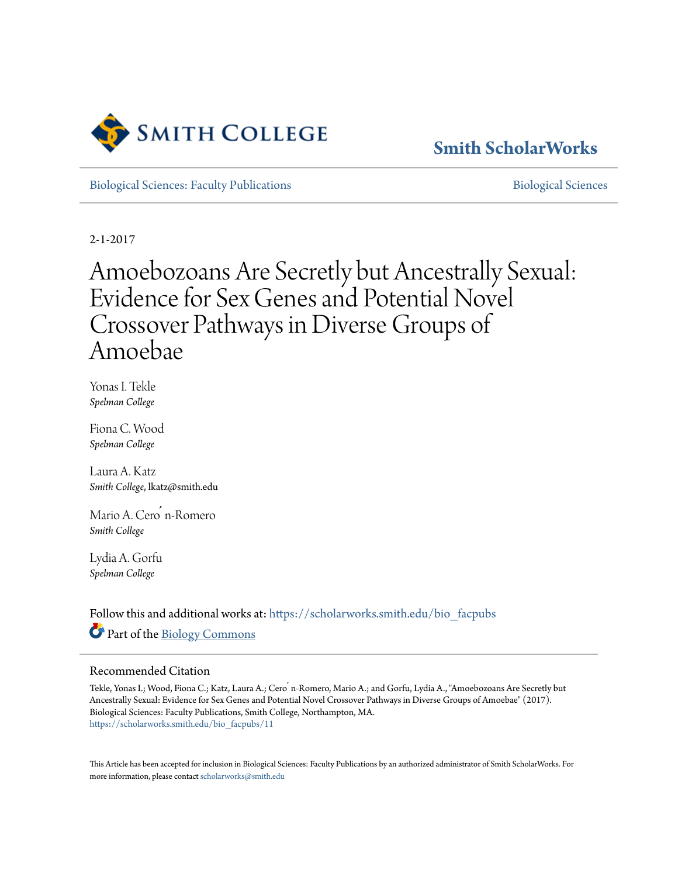

# **[Smith ScholarWorks](https://scholarworks.smith.edu?utm_source=scholarworks.smith.edu%2Fbio_facpubs%2F11&utm_medium=PDF&utm_campaign=PDFCoverPages)**

[Biological Sciences: Faculty Publications](https://scholarworks.smith.edu/bio_facpubs?utm_source=scholarworks.smith.edu%2Fbio_facpubs%2F11&utm_medium=PDF&utm_campaign=PDFCoverPages) and [Biological Sciences](https://scholarworks.smith.edu/bio?utm_source=scholarworks.smith.edu%2Fbio_facpubs%2F11&utm_medium=PDF&utm_campaign=PDFCoverPages) Biological Sciences

2-1-2017

# Amoebozoans Are Secretly but Ancestrally Sexual: Evidence for Sex Genes and Potential Novel Crossover Pathways in Diverse Groups of Amoebae

Yonas I. Tekle *Spelman College*

Fiona C. Wood *Spelman College*

Laura A. Katz *Smith College*, lkatz@smith.edu

Mario A. Cero n-Romero *Smith College*

Lydia A. Gorfu *Spelman College*

Follow this and additional works at: [https://scholarworks.smith.edu/bio\\_facpubs](https://scholarworks.smith.edu/bio_facpubs?utm_source=scholarworks.smith.edu%2Fbio_facpubs%2F11&utm_medium=PDF&utm_campaign=PDFCoverPages) Part of the [Biology Commons](http://network.bepress.com/hgg/discipline/41?utm_source=scholarworks.smith.edu%2Fbio_facpubs%2F11&utm_medium=PDF&utm_campaign=PDFCoverPages)

#### Recommended Citation

Tekle, Yonas I.; Wood, Fiona C.; Katz, Laura A.; Cero ́ n-Romero, Mario A.; and Gorfu, Lydia A., "Amoebozoans Are Secretly but Ancestrally Sexual: Evidence for Sex Genes and Potential Novel Crossover Pathways in Diverse Groups of Amoebae" (2017). Biological Sciences: Faculty Publications, Smith College, Northampton, MA. [https://scholarworks.smith.edu/bio\\_facpubs/11](https://scholarworks.smith.edu/bio_facpubs/11?utm_source=scholarworks.smith.edu%2Fbio_facpubs%2F11&utm_medium=PDF&utm_campaign=PDFCoverPages)

This Article has been accepted for inclusion in Biological Sciences: Faculty Publications by an authorized administrator of Smith ScholarWorks. For more information, please contact [scholarworks@smith.edu](mailto:scholarworks@smith.edu)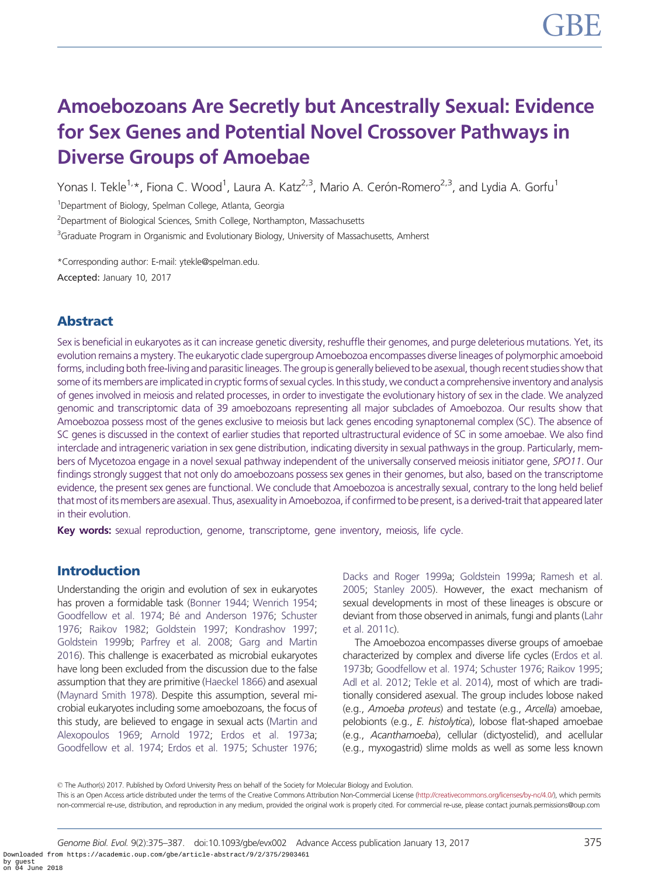# Amoebozoans Are Secretly but Ancestrally Sexual: Evidence for Sex Genes and Potential Novel Crossover Pathways in Diverse Groups of Amoebae

Yonas I. Tekle<sup>1,</sup>\*, Fiona C. Wood<sup>1</sup>, Laura A. Katz<sup>2,3</sup>, Mario A. Cerón-Romero<sup>2,3</sup>, and Lydia A. Gorfu<sup>1</sup>

<sup>1</sup>Department of Biology, Spelman College, Atlanta, Georgia

<sup>2</sup>Department of Biological Sciences, Smith College, Northampton, Massachusetts

<sup>3</sup>Graduate Program in Organismic and Evolutionary Biology, University of Massachusetts, Amherst

\*Corresponding author: E-mail: ytekle@spelman.edu. Accepted: January 10, 2017

# Abstract

Sex is beneficial in eukaryotes as it can increase genetic diversity, reshuffle their genomes, and purge deleterious mutations. Yet, its evolution remains a mystery. The eukaryotic clade supergroup Amoebozoa encompasses diverse lineages of polymorphic amoeboid forms, including both free-living and parasitic lineages. The group is generally believed to be asexual, though recent studies show that some of its members are implicated in cryptic forms of sexual cycles. In this study, we conduct a comprehensive inventory and analysis of genes involved in meiosis and related processes, in order to investigate the evolutionary history of sex in the clade. We analyzed genomic and transcriptomic data of 39 amoebozoans representing all major subclades of Amoebozoa. Our results show that Amoebozoa possess most of the genes exclusive to meiosis but lack genes encoding synaptonemal complex (SC). The absence of SC genes is discussed in the context of earlier studies that reported ultrastructural evidence of SC in some amoebae. We also find interclade and intrageneric variation in sex gene distribution, indicating diversity in sexual pathways in the group. Particularly, members of Mycetozoa engage in a novel sexual pathway independent of the universally conserved meiosis initiator gene, SPO11. Our findings strongly suggest that not only do amoebozoans possess sex genes in their genomes, but also, based on the transcriptome evidence, the present sex genes are functional. We conclude that Amoebozoa is ancestrally sexual, contrary to the long held belief that most of its members are asexual. Thus, asexuality in Amoebozoa, if confirmed to be present, is a derived-trait that appeared later in their evolution.

Key words: sexual reproduction, genome, transcriptome, gene inventory, meiosis, life cycle.

## Introduction

Understanding the origin and evolution of sex in eukaryotes has proven a formidable task [\(Bonner 1944](#page-12-0); [Wenrich 1954;](#page-13-0) [Goodfellow et al. 1974](#page-12-0); Bé [and Anderson 1976;](#page-12-0) [Schuster](#page-13-0) [1976;](#page-13-0) [Raikov 1982](#page-13-0); [Goldstein 1997;](#page-12-0) [Kondrashov 1997;](#page-12-0) [Goldstein 1999](#page-12-0)b; [Parfrey et al. 2008;](#page-13-0) [Garg and Martin](#page-12-0) [2016\)](#page-12-0). This challenge is exacerbated as microbial eukaryotes have long been excluded from the discussion due to the false assumption that they are primitive ([Haeckel 1866\)](#page-12-0) and asexual [\(Maynard Smith 1978\)](#page-13-0). Despite this assumption, several microbial eukaryotes including some amoebozoans, the focus of this study, are believed to engage in sexual acts [\(Martin and](#page-13-0) [Alexopoulos 1969](#page-13-0); [Arnold 1972](#page-12-0); [Erdos et al. 1973](#page-12-0)a; [Goodfellow et al. 1974;](#page-12-0) [Erdos et al. 1975;](#page-12-0) [Schuster 1976;](#page-13-0)

[Dacks and Roger 1999a](#page-12-0); [Goldstein 1999a](#page-12-0); [Ramesh et al.](#page-13-0) [2005](#page-13-0); [Stanley 2005\)](#page-13-0). However, the exact mechanism of sexual developments in most of these lineages is obscure or deviant from those observed in animals, fungi and plants [\(Lahr](#page-13-0) [et al. 2011c\)](#page-13-0).

The Amoebozoa encompasses diverse groups of amoebae characterized by complex and diverse life cycles [\(Erdos et al.](#page-12-0) [1973](#page-12-0)b; [Goodfellow et al. 1974](#page-12-0); [Schuster 1976](#page-13-0); [Raikov 1995](#page-13-0); [Adl et al. 2012;](#page-12-0) [Tekle et al. 2014\)](#page-13-0), most of which are traditionally considered asexual. The group includes lobose naked (e.g., Amoeba proteus) and testate (e.g., Arcella) amoebae, pelobionts (e.g., E. histolytica), lobose flat-shaped amoebae (e.g., Acanthamoeba), cellular (dictyostelid), and acellular (e.g., myxogastrid) slime molds as well as some less known

© The Author(s) 2017. Published by Oxford University Press on behalf of the Society for Molecular Biology and Evolution.

This is an Open Access article distributed under the terms of the Creative Commons Attribution Non-Commercial License [\(http://creativecommons.org/licenses/by-nc/4.0/](http://creativecommons.org/licenses/by-nc/4.0/)), which permits non-commercial re-use, distribution, and reproduction in any medium, provided the original work is properly cited. For commercial re-use, please contact journals.permissions@oup.com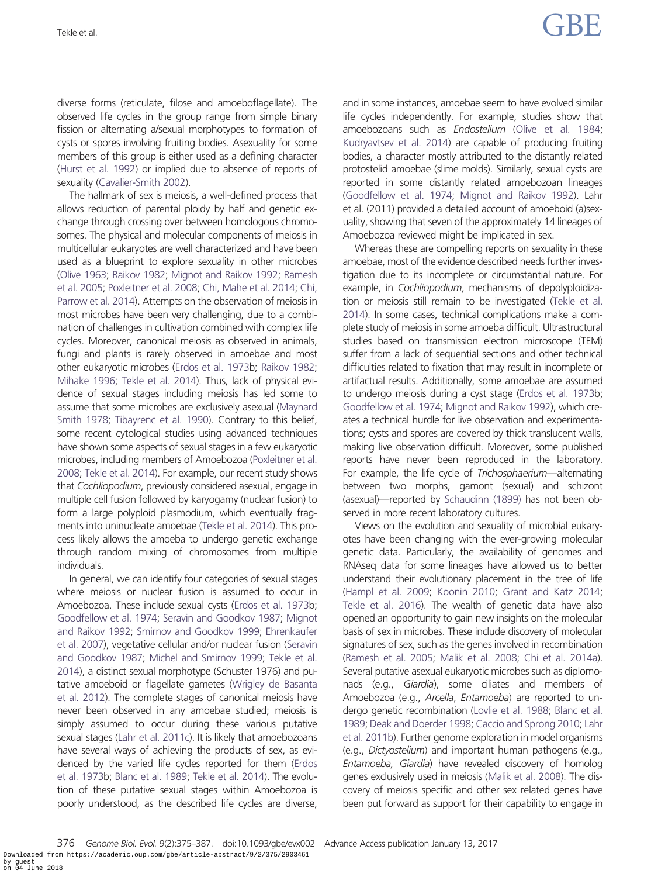diverse forms (reticulate, filose and amoeboflagellate). The observed life cycles in the group range from simple binary fission or alternating a/sexual morphotypes to formation of cysts or spores involving fruiting bodies. Asexuality for some members of this group is either used as a defining character [\(Hurst et al. 1992](#page-12-0)) or implied due to absence of reports of sexuality [\(Cavalier-Smith 2002\)](#page-12-0).

The hallmark of sex is meiosis, a well-defined process that allows reduction of parental ploidy by half and genetic exchange through crossing over between homologous chromosomes. The physical and molecular components of meiosis in multicellular eukaryotes are well characterized and have been used as a blueprint to explore sexuality in other microbes [\(Olive 1963](#page-13-0); [Raikov 1982;](#page-13-0) [Mignot and Raikov 1992;](#page-13-0) [Ramesh](#page-13-0) [et al. 2005;](#page-13-0) [Poxleitner et al. 2008;](#page-13-0) [Chi, Mahe et al. 2014;](#page-12-0) [Chi,](#page-12-0) [Parrow et al. 2014\)](#page-12-0). Attempts on the observation of meiosis in most microbes have been very challenging, due to a combination of challenges in cultivation combined with complex life cycles. Moreover, canonical meiosis as observed in animals, fungi and plants is rarely observed in amoebae and most other eukaryotic microbes ([Erdos et al. 1973b](#page-12-0); [Raikov 1982;](#page-13-0) [Mihake 1996](#page-13-0); [Tekle et al. 2014\)](#page-13-0). Thus, lack of physical evidence of sexual stages including meiosis has led some to assume that some microbes are exclusively asexual [\(Maynard](#page-13-0) [Smith 1978;](#page-13-0) [Tibayrenc et al. 1990\)](#page-13-0). Contrary to this belief, some recent cytological studies using advanced techniques have shown some aspects of sexual stages in a few eukaryotic microbes, including members of Amoebozoa [\(Poxleitner et al.](#page-13-0) [2008;](#page-13-0) [Tekle et al. 2014](#page-13-0)). For example, our recent study shows that Cochliopodium, previously considered asexual, engage in multiple cell fusion followed by karyogamy (nuclear fusion) to form a large polyploid plasmodium, which eventually fragments into uninucleate amoebae [\(Tekle et al. 2014\)](#page-13-0). This process likely allows the amoeba to undergo genetic exchange through random mixing of chromosomes from multiple individuals.

In general, we can identify four categories of sexual stages where meiosis or nuclear fusion is assumed to occur in Amoebozoa. These include sexual cysts [\(Erdos et al. 1973b](#page-12-0); [Goodfellow et al. 1974](#page-12-0); [Seravin and Goodkov 1987;](#page-13-0) [Mignot](#page-13-0) [and Raikov 1992](#page-13-0); [Smirnov and Goodkov 1999;](#page-13-0) [Ehrenkaufer](#page-12-0) [et al. 2007\)](#page-12-0), vegetative cellular and/or nuclear fusion ([Seravin](#page-13-0) [and Goodkov 1987](#page-13-0); [Michel and Smirnov 1999](#page-13-0); [Tekle et al.](#page-13-0) [2014\)](#page-13-0), a distinct sexual morphotype (Schuster 1976) and putative amoeboid or flagellate gametes [\(Wrigley de Basanta](#page-13-0) [et al. 2012](#page-13-0)). The complete stages of canonical meiosis have never been observed in any amoebae studied; meiosis is simply assumed to occur during these various putative sexual stages ([Lahr et al. 2011c](#page-13-0)). It is likely that amoebozoans have several ways of achieving the products of sex, as evidenced by the varied life cycles reported for them [\(Erdos](#page-12-0) [et al. 1973b](#page-12-0); [Blanc et al. 1989](#page-12-0); [Tekle et al. 2014](#page-13-0)). The evolution of these putative sexual stages within Amoebozoa is poorly understood, as the described life cycles are diverse, and in some instances, amoebae seem to have evolved similar life cycles independently. For example, studies show that amoebozoans such as Endostelium [\(Olive et al. 1984](#page-13-0); [Kudryavtsev et al. 2014\)](#page-12-0) are capable of producing fruiting bodies, a character mostly attributed to the distantly related protostelid amoebae (slime molds). Similarly, sexual cysts are reported in some distantly related amoebozoan lineages ([Goodfellow et al. 1974](#page-12-0); [Mignot and Raikov 1992](#page-13-0)). Lahr et al. (2011) provided a detailed account of amoeboid (a)sexuality, showing that seven of the approximately 14 lineages of Amoebozoa reviewed might be implicated in sex.

Whereas these are compelling reports on sexuality in these amoebae, most of the evidence described needs further investigation due to its incomplete or circumstantial nature. For example, in Cochliopodium, mechanisms of depolyploidization or meiosis still remain to be investigated ([Tekle et al.](#page-13-0) [2014](#page-13-0)). In some cases, technical complications make a complete study of meiosis in some amoeba difficult. Ultrastructural studies based on transmission electron microscope (TEM) suffer from a lack of sequential sections and other technical difficulties related to fixation that may result in incomplete or artifactual results. Additionally, some amoebae are assumed to undergo meiosis during a cyst stage [\(Erdos et al. 1973](#page-12-0)b; [Goodfellow et al. 1974;](#page-12-0) [Mignot and Raikov 1992\)](#page-13-0), which creates a technical hurdle for live observation and experimentations; cysts and spores are covered by thick translucent walls, making live observation difficult. Moreover, some published reports have never been reproduced in the laboratory. For example, the life cycle of Trichosphaerium—alternating between two morphs, gamont (sexual) and schizont (asexual)—reported by [Schaudinn \(1899\)](#page-13-0) has not been observed in more recent laboratory cultures.

Views on the evolution and sexuality of microbial eukaryotes have been changing with the ever-growing molecular genetic data. Particularly, the availability of genomes and RNAseq data for some lineages have allowed us to better understand their evolutionary placement in the tree of life ([Hampl et al. 2009;](#page-12-0) [Koonin 2010](#page-12-0); [Grant and Katz 2014](#page-12-0); [Tekle et al. 2016](#page-13-0)). The wealth of genetic data have also opened an opportunity to gain new insights on the molecular basis of sex in microbes. These include discovery of molecular signatures of sex, such as the genes involved in recombination ([Ramesh et al. 2005;](#page-13-0) [Malik et al. 2008](#page-13-0); [Chi et al. 2014a\)](#page-12-0). Several putative asexual eukaryotic microbes such as diplomonads (e.g., Giardia), some ciliates and members of Amoebozoa (e.g., Arcella, Entamoeba) are reported to undergo genetic recombination ([Lovlie et al. 1988;](#page-13-0) [Blanc et al.](#page-12-0) [1989](#page-12-0); [Deak and Doerder 1998](#page-12-0); [Caccio and Sprong 2010;](#page-12-0) [Lahr](#page-13-0) [et al. 2011b](#page-13-0)). Further genome exploration in model organisms (e.g., Dictyostelium) and important human pathogens (e.g., Entamoeba, Giardia) have revealed discovery of homolog genes exclusively used in meiosis ([Malik et al. 2008\)](#page-13-0). The discovery of meiosis specific and other sex related genes have been put forward as support for their capability to engage in

376 Genome Biol. Evol. 9(2):375–387. doi:10.1093/gbe/evx002 Advance Access publication January 13, 2017 Downloaded from https://academic.oup.com/gbe/article-abstract/9/2/375/2903461 by guest on 04 June 2018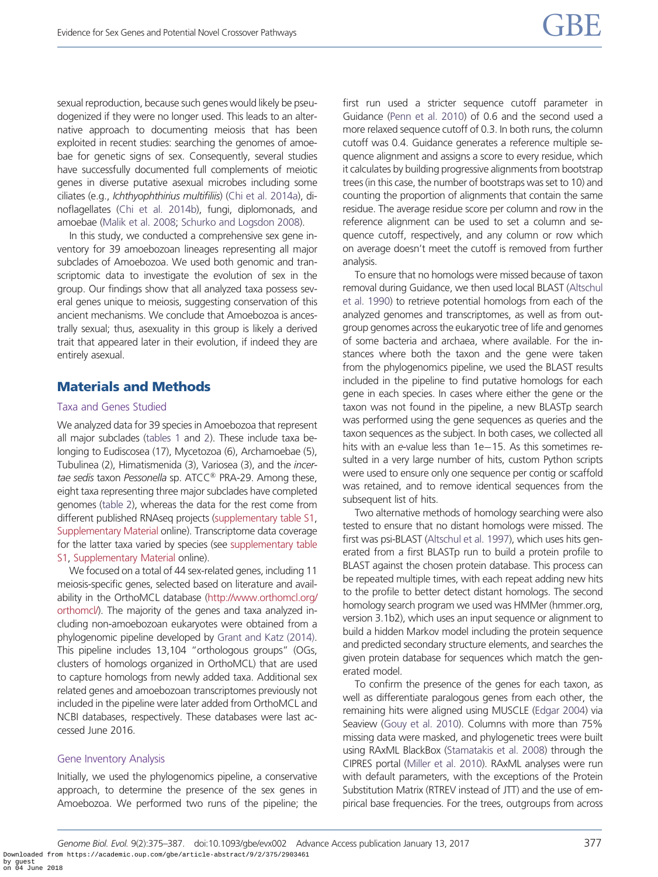sexual reproduction, because such genes would likely be pseudogenized if they were no longer used. This leads to an alternative approach to documenting meiosis that has been exploited in recent studies: searching the genomes of amoebae for genetic signs of sex. Consequently, several studies have successfully documented full complements of meiotic genes in diverse putative asexual microbes including some ciliates (e.g., Ichthyophthirius multifiliis) [\(Chi et al. 2014a\)](#page-12-0), dinoflagellates ([Chi et al. 2014b\)](#page-12-0), fungi, diplomonads, and amoebae [\(Malik et al. 2008;](#page-13-0) [Schurko and Logsdon 2008](#page-13-0)).

In this study, we conducted a comprehensive sex gene inventory for 39 amoebozoan lineages representing all major subclades of Amoebozoa. We used both genomic and transcriptomic data to investigate the evolution of sex in the group. Our findings show that all analyzed taxa possess several genes unique to meiosis, suggesting conservation of this ancient mechanisms. We conclude that Amoebozoa is ancestrally sexual; thus, asexuality in this group is likely a derived trait that appeared later in their evolution, if indeed they are entirely asexual.

# Materials and Methods

#### Taxa and Genes Studied

We analyzed data for 39 species in Amoebozoa that represent all major subclades [\(tables 1](#page-4-0) and [2\)](#page-5-0). These include taxa belonging to Eudiscosea (17), Mycetozoa (6), Archamoebae (5), Tubulinea (2), Himatismenida (3), Variosea (3), and the incertae sedis taxon Pessonella sp.  $ATCC^@$  PRA-29. Among these, eight taxa representing three major subclades have completed genomes ([table 2](#page-5-0)), whereas the data for the rest come from different published RNAseq projects [\(supplementary table S1,](http://gbe.oxfordjournals.org/lookup/suppl/doi:10.1093/gbe/evx002/-/DC1) [Supplementary Material](http://gbe.oxfordjournals.org/lookup/suppl/doi:10.1093/gbe/evx002/-/DC1) online). Transcriptome data coverage for the latter taxa varied by species (see [supplementary table](http://gbe.oxfordjournals.org/lookup/suppl/doi:10.1093/gbe/evx002/-/DC1) [S1](http://gbe.oxfordjournals.org/lookup/suppl/doi:10.1093/gbe/evx002/-/DC1), [Supplementary Material](http://gbe.oxfordjournals.org/lookup/suppl/doi:10.1093/gbe/evx002/-/DC1) online).

We focused on a total of 44 sex-related genes, including 11 meiosis-specific genes, selected based on literature and availability in the OrthoMCL database [\(http://www.orthomcl.org/](http://www.orthomcl.org/orthomcl/) [orthomcl/\)](http://www.orthomcl.org/orthomcl/). The majority of the genes and taxa analyzed including non-amoebozoan eukaryotes were obtained from a phylogenomic pipeline developed by [Grant and Katz \(2014\).](#page-12-0) This pipeline includes 13,104 "orthologous groups" (OGs, clusters of homologs organized in OrthoMCL) that are used to capture homologs from newly added taxa. Additional sex related genes and amoebozoan transcriptomes previously not included in the pipeline were later added from OrthoMCL and NCBI databases, respectively. These databases were last accessed June 2016.

#### Gene Inventory Analysis

Initially, we used the phylogenomics pipeline, a conservative approach, to determine the presence of the sex genes in Amoebozoa. We performed two runs of the pipeline; the first run used a stricter sequence cutoff parameter in Guidance [\(Penn et al. 2010\)](#page-13-0) of 0.6 and the second used a more relaxed sequence cutoff of 0.3. In both runs, the column cutoff was 0.4. Guidance generates a reference multiple sequence alignment and assigns a score to every residue, which it calculates by building progressive alignments from bootstrap trees (in this case, the number of bootstraps was set to 10) and counting the proportion of alignments that contain the same residue. The average residue score per column and row in the reference alignment can be used to set a column and sequence cutoff, respectively, and any column or row which on average doesn't meet the cutoff is removed from further analysis.

To ensure that no homologs were missed because of taxon removal during Guidance, we then used local BLAST [\(Altschul](#page-12-0) [et al. 1990\)](#page-12-0) to retrieve potential homologs from each of the analyzed genomes and transcriptomes, as well as from outgroup genomes across the eukaryotic tree of life and genomes of some bacteria and archaea, where available. For the instances where both the taxon and the gene were taken from the phylogenomics pipeline, we used the BLAST results included in the pipeline to find putative homologs for each gene in each species. In cases where either the gene or the taxon was not found in the pipeline, a new BLASTp search was performed using the gene sequences as queries and the taxon sequences as the subject. In both cases, we collected all hits with an e-value less than 1e–15. As this sometimes resulted in a very large number of hits, custom Python scripts were used to ensure only one sequence per contig or scaffold was retained, and to remove identical sequences from the subsequent list of hits.

Two alternative methods of homology searching were also tested to ensure that no distant homologs were missed. The first was psi-BLAST [\(Altschul et al. 1997\)](#page-12-0), which uses hits generated from a first BLASTp run to build a protein profile to BLAST against the chosen protein database. This process can be repeated multiple times, with each repeat adding new hits to the profile to better detect distant homologs. The second homology search program we used was HMMer (hmmer.org, version 3.1b2), which uses an input sequence or alignment to build a hidden Markov model including the protein sequence and predicted secondary structure elements, and searches the given protein database for sequences which match the generated model.

To confirm the presence of the genes for each taxon, as well as differentiate paralogous genes from each other, the remaining hits were aligned using MUSCLE [\(Edgar 2004\)](#page-12-0) via Seaview ([Gouy et al. 2010](#page-12-0)). Columns with more than 75% missing data were masked, and phylogenetic trees were built using RAxML BlackBox [\(Stamatakis et al. 2008](#page-13-0)) through the CIPRES portal ([Miller et al. 2010](#page-13-0)). RAxML analyses were run with default parameters, with the exceptions of the Protein Substitution Matrix (RTREV instead of JTT) and the use of empirical base frequencies. For the trees, outgroups from across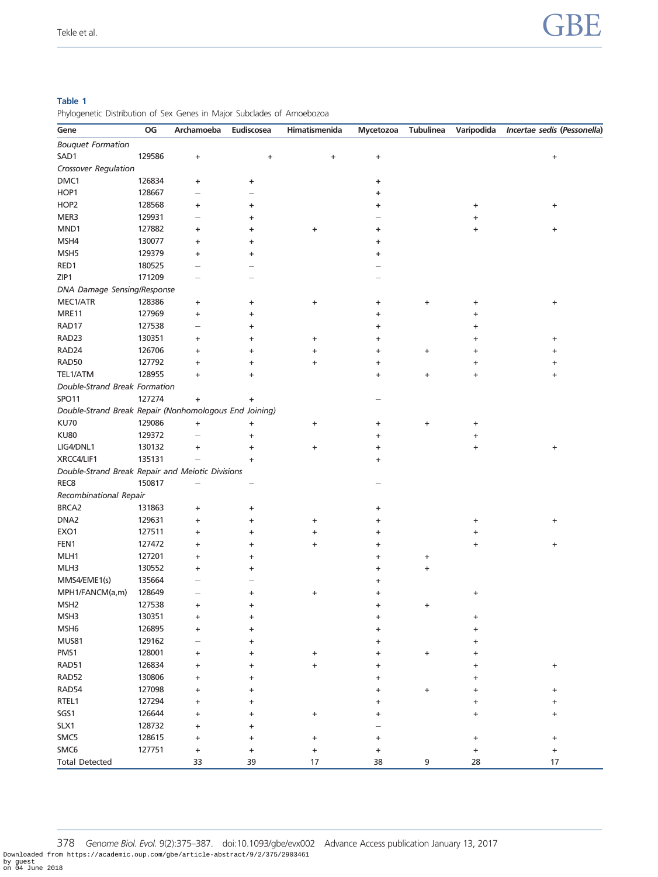#### <span id="page-4-0"></span>Table 1

Phylogenetic Distribution of Sex Genes in Major Subclades of Amoebozoa

| Gene                                                   | OG     | Archamoeba                       | Eudiscosea | Himatismenida | Mycetozoa                        | <b>Tubulinea</b> | Varipodida | Incertae sedis (Pessonella) |  |  |  |
|--------------------------------------------------------|--------|----------------------------------|------------|---------------|----------------------------------|------------------|------------|-----------------------------|--|--|--|
| <b>Bouquet Formation</b>                               |        |                                  |            |               |                                  |                  |            |                             |  |  |  |
| SAD1                                                   | 129586 | $\ddot{}$                        | $\ddot{}$  | +             | $\ddot{}$                        |                  |            | $\ddot{}$                   |  |  |  |
| Crossover Regulation                                   |        |                                  |            |               |                                  |                  |            |                             |  |  |  |
| DMC1                                                   | 126834 | ÷                                | ٠          |               | +                                |                  |            |                             |  |  |  |
| HOP1                                                   | 128667 | L.                               |            |               | +                                |                  |            |                             |  |  |  |
| HOP <sub>2</sub>                                       | 128568 | ٠                                | ٠          |               | ٠                                |                  | ٠          | +                           |  |  |  |
| MER3                                                   | 129931 |                                  | ٠          |               |                                  |                  | ٠          |                             |  |  |  |
| MND1                                                   | 127882 | ÷                                | ٠          | +             | +                                |                  |            | +                           |  |  |  |
| MSH4                                                   | 130077 | ٠                                | ٠          |               | ٠                                |                  |            |                             |  |  |  |
| MSH <sub>5</sub>                                       | 129379 | ÷                                | ٠          |               | +                                |                  |            |                             |  |  |  |
| RED1                                                   | 180525 |                                  |            |               |                                  |                  |            |                             |  |  |  |
| ZIP1                                                   | 171209 |                                  |            |               |                                  |                  |            |                             |  |  |  |
| DNA Damage Sensing/Response                            |        |                                  |            |               |                                  |                  |            |                             |  |  |  |
| MEC1/ATR                                               | 128386 | +                                |            | $\ddot{}$     |                                  | +                |            |                             |  |  |  |
| MRE11                                                  | 127969 | $\ddot{}$                        | +<br>+     |               | +<br>+                           |                  | +          | $\ddot{}$                   |  |  |  |
| RAD17                                                  | 127538 | $\overline{\phantom{0}}$         | +          |               | +                                |                  |            |                             |  |  |  |
| RAD23                                                  | 130351 | +                                | +          |               | $\ddot{}$                        |                  | +          | $\ddot{}$                   |  |  |  |
| RAD24                                                  | 126706 |                                  |            | $\ddot{}$     |                                  |                  |            |                             |  |  |  |
| RAD50                                                  | 127792 | $\ddot{}$                        | +          | $\ddot{}$     | +                                | +                | $\ddot{}$  | $\ddot{}$                   |  |  |  |
| TEL1/ATM                                               | 128955 | $\ddot{}$                        | +          | $\ddot{}$     | +                                |                  | +          | +                           |  |  |  |
|                                                        |        | $\ddot{}$                        | +          |               | +                                | $\ddot{}$        | $\ddot{}$  | $\ddot{}$                   |  |  |  |
| Double-Strand Break Formation                          |        |                                  |            |               |                                  |                  |            |                             |  |  |  |
| SPO <sub>11</sub>                                      | 127274 | $\ddot{}$                        | ٠          |               |                                  |                  |            |                             |  |  |  |
| Double-Strand Break Repair (Nonhomologous End Joining) |        |                                  |            |               |                                  |                  |            |                             |  |  |  |
| <b>KU70</b>                                            | 129086 | $\begin{array}{c} + \end{array}$ | $\ddot{}$  | $\ddot{}$     | +                                | +                | +          |                             |  |  |  |
| <b>KU80</b>                                            | 129372 | $\overline{\phantom{0}}$         | $\ddot{}$  |               | +                                |                  | +          |                             |  |  |  |
| LIG4/DNL1                                              | 130132 | $\ddot{}$                        | +          | $\ddot{}$     | +                                |                  | $\ddot{}$  | $\ddot{}$                   |  |  |  |
| XRCC4/LIF1                                             | 135131 |                                  | $\ddot{}$  |               | +                                |                  |            |                             |  |  |  |
| Double-Strand Break Repair and Meiotic Divisions       |        |                                  |            |               |                                  |                  |            |                             |  |  |  |
| REC <sub>8</sub>                                       | 150817 |                                  |            |               |                                  |                  |            |                             |  |  |  |
| Recombinational Repair                                 |        |                                  |            |               |                                  |                  |            |                             |  |  |  |
| BRCA2                                                  | 131863 | +                                | $\ddot{}$  |               | +                                |                  |            |                             |  |  |  |
| DNA <sub>2</sub>                                       | 129631 | $\ddot{}$                        | +          | $\ddot{}$     | +                                |                  | +          | +                           |  |  |  |
| EXO <sub>1</sub>                                       | 127511 | $\ddot{}$                        | +          | $\ddot{}$     | $\ddot{}$                        |                  | $\ddot{}$  |                             |  |  |  |
| FEN1                                                   | 127472 | $\ddot{}$                        | +          | $\ddot{}$     | $\ddot{}$                        |                  | $\ddot{}$  | $\ddot{}$                   |  |  |  |
| MLH1                                                   | 127201 | $\ddot{}$                        | +          |               | +                                | +                |            |                             |  |  |  |
| MLH3                                                   | 130552 | $\ddot{}$                        | $\ddot{}$  |               | +                                | +                |            |                             |  |  |  |
| MMS4/EME1(s)                                           | 135664 |                                  |            |               | +                                |                  |            |                             |  |  |  |
| MPH1/FANCM(a,m)                                        | 128649 |                                  |            | +             |                                  |                  | +          |                             |  |  |  |
| MSH <sub>2</sub>                                       | 127538 | $\ddot{}$                        | +          |               | +                                | +                |            |                             |  |  |  |
| MSH3                                                   | 130351 | $\ddot{\phantom{1}}$             |            |               |                                  |                  |            |                             |  |  |  |
| MSH <sub>6</sub>                                       | 126895 | $\ddot{}$                        | +          |               |                                  |                  |            |                             |  |  |  |
| <b>MUS81</b>                                           | 129162 |                                  | +          |               |                                  |                  |            |                             |  |  |  |
| PMS1                                                   | 128001 | +                                | +          | $\ddot{}$     | +                                | $\ddot{}$        |            |                             |  |  |  |
| RAD51                                                  | 126834 | +                                |            | $\ddot{}$     | +                                |                  |            | $\ddot{}$                   |  |  |  |
| RAD52                                                  | 130806 | $\ddot{}$                        | +          |               | +                                |                  |            |                             |  |  |  |
| RAD54                                                  | 127098 | $\ddot{}$                        | +          |               | $\ddot{}$                        | +                |            | $\ddot{}$                   |  |  |  |
| RTEL1                                                  | 127294 | +                                | +          |               | $\ddot{}$                        |                  |            | $\ddot{}$                   |  |  |  |
| SGS1                                                   | 126644 | $\ddot{}$                        |            | $\ddot{}$     | +                                |                  | +          | +                           |  |  |  |
| SLX1                                                   | 128732 | $\ddot{}$                        | +          |               |                                  |                  |            |                             |  |  |  |
| SMC5                                                   | 128615 | $\ddot{}$                        | +          | $\ddot{}$     | +                                |                  |            | $\ddot{}$                   |  |  |  |
| SMC6                                                   | 127751 | $\begin{array}{c} + \end{array}$ | $\ddot{}$  | $\ddot{}$     | $\begin{array}{c} + \end{array}$ |                  | $\ddot{}$  | $\ddot{}$                   |  |  |  |
| <b>Total Detected</b>                                  |        | 33                               | 39         | 17            | 38                               | 9                | 28         | 17                          |  |  |  |

378 Genome Biol. Evol. 9(2):375–387. doi:10.1093/gbe/evx002 Advance Access publication January 13, 2017 Downloaded from https://academic.oup.com/gbe/article-abstract/9/2/375/2903461 by guest on 04 June 2018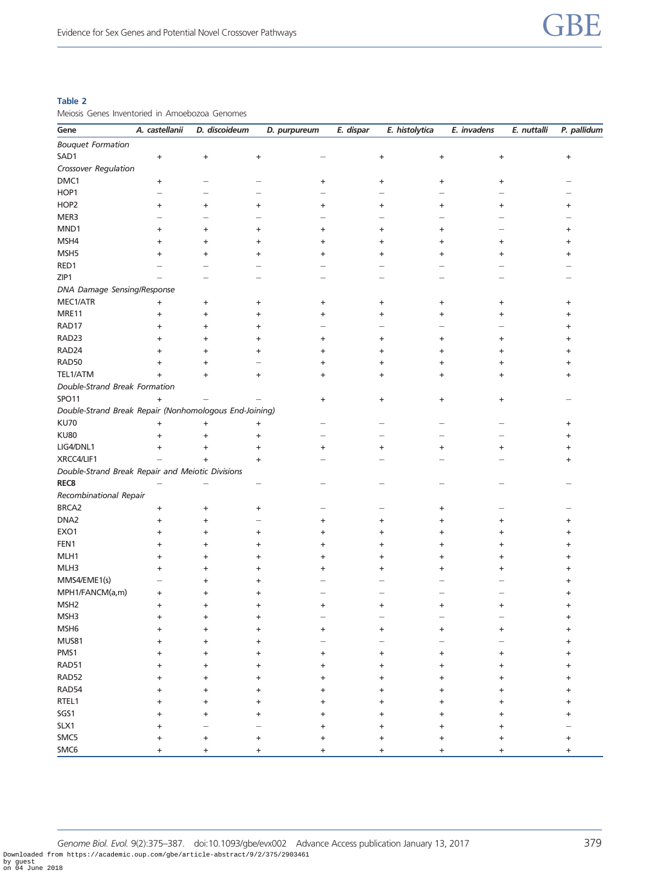#### <span id="page-5-0"></span>Table 2

Meiosis Genes Inventoried in Amoebozoa Genomes

| Gene                                                   | A. castellanii                   | D. discoideum                    | D. purpureum                     | E. dispar                        | E. histolytica                   | E. invadens                                   | P. pallidum<br>E. nuttalli |  |  |  |  |  |
|--------------------------------------------------------|----------------------------------|----------------------------------|----------------------------------|----------------------------------|----------------------------------|-----------------------------------------------|----------------------------|--|--|--|--|--|
| <b>Bouquet Formation</b>                               |                                  |                                  |                                  |                                  |                                  |                                               |                            |  |  |  |  |  |
| SAD1                                                   | $\ddot{}$                        | $\begin{array}{c} + \end{array}$ | $\ddot{}$                        |                                  | $\begin{array}{c} + \end{array}$ | $\ddot{}$<br>$\begin{array}{c} + \end{array}$ | +                          |  |  |  |  |  |
| Crossover Regulation                                   |                                  |                                  |                                  |                                  |                                  |                                               |                            |  |  |  |  |  |
| DMC1                                                   | $\begin{array}{c} + \end{array}$ |                                  |                                  | $\ddot{}$                        | $\begin{array}{c} + \end{array}$ | $\ddot{}$<br>+                                |                            |  |  |  |  |  |
| HOP1                                                   |                                  |                                  |                                  |                                  |                                  |                                               |                            |  |  |  |  |  |
| HOP2                                                   | $\ddot{}$                        | $\ddot{}$                        | $\ddot{}$                        | $\ddot{}$                        | $\ddot{}$                        | $\ddot{}$<br>+                                | $\ddot{}$                  |  |  |  |  |  |
| MER3                                                   |                                  |                                  |                                  |                                  |                                  |                                               |                            |  |  |  |  |  |
| MND1                                                   | $\ddot{}$                        | +                                | $\ddot{}$                        | +                                | +                                | +                                             |                            |  |  |  |  |  |
| MSH4                                                   | $\ddot{}$                        | $\ddot{}$                        | $\ddot{}$                        | +                                | $\ddot{}$                        | +<br>+                                        | +                          |  |  |  |  |  |
| MSH <sub>5</sub>                                       | $\ddot{}$                        | $\ddot{}$                        | $\ddot{}$                        | +                                | +                                | +<br>+                                        |                            |  |  |  |  |  |
| RED1                                                   |                                  |                                  |                                  |                                  |                                  |                                               |                            |  |  |  |  |  |
| ZIP1                                                   |                                  |                                  |                                  |                                  |                                  |                                               |                            |  |  |  |  |  |
| DNA Damage Sensing/Response                            |                                  |                                  |                                  |                                  |                                  |                                               |                            |  |  |  |  |  |
| MEC1/ATR                                               | $\ddot{}$                        | $\ddot{}$                        | $\ddot{}$                        | $\ddot{}$                        | $\ddot{}$                        | $\ddot{}$<br>+                                | +                          |  |  |  |  |  |
| MRE11                                                  | $\ddot{}$                        | +                                | $\ddot{}$                        | +                                | +                                | +<br>+                                        |                            |  |  |  |  |  |
| RAD17                                                  | $\ddot{}$                        | $\ddot{}$                        | $\ddot{}$                        |                                  |                                  |                                               |                            |  |  |  |  |  |
| RAD23                                                  | $\ddot{}$                        | +                                | $\ddot{}$                        | +                                | +                                | +<br>+                                        | +                          |  |  |  |  |  |
| RAD24                                                  | +                                | +                                | $\ddot{}$                        | ÷                                | ÷                                | +<br>÷                                        | +                          |  |  |  |  |  |
| RAD50                                                  | $\ddot{}$                        | +                                |                                  | ÷                                | +                                | +<br>+                                        |                            |  |  |  |  |  |
| TEL1/ATM                                               | $\ddot{}$                        | $\ddot{}$                        | $\ddot{}$                        | +                                | $\ddot{}$                        | +<br>+                                        |                            |  |  |  |  |  |
| Double-Strand Break Formation                          |                                  |                                  |                                  |                                  |                                  |                                               |                            |  |  |  |  |  |
| SPO11                                                  | $\ddot{}$                        |                                  |                                  | $\begin{array}{c} + \end{array}$ | $\begin{array}{c} + \end{array}$ | $\ddot{}$<br>$\ddot{}$                        |                            |  |  |  |  |  |
| Double-Strand Break Repair (Nonhomologous End-Joining) |                                  |                                  |                                  |                                  |                                  |                                               |                            |  |  |  |  |  |
| <b>KU70</b>                                            | $\ddot{}$                        | $\begin{array}{c} + \end{array}$ | $\begin{array}{c} + \end{array}$ |                                  |                                  |                                               | +                          |  |  |  |  |  |
| <b>KU80</b>                                            | $\ddot{}$                        | +                                | $\ddot{}$                        |                                  |                                  |                                               |                            |  |  |  |  |  |
| LIG4/DNL1                                              | $\ddot{}$                        |                                  | $\ddot{}$                        | $\ddot{}$                        | $\ddot{}$                        | +<br>+                                        |                            |  |  |  |  |  |
| XRCC4/LIF1                                             |                                  | $\ddot{}$<br>$\ddot{}$           | $\ddot{}$                        |                                  |                                  |                                               |                            |  |  |  |  |  |
| Double-Strand Break Repair and Meiotic Divisions       |                                  |                                  |                                  |                                  |                                  |                                               | +                          |  |  |  |  |  |
| REC <sub>8</sub>                                       |                                  |                                  |                                  |                                  |                                  |                                               |                            |  |  |  |  |  |
| Recombinational Repair                                 |                                  |                                  |                                  |                                  |                                  |                                               |                            |  |  |  |  |  |
| BRCA2                                                  |                                  |                                  |                                  |                                  |                                  |                                               |                            |  |  |  |  |  |
| DNA <sub>2</sub>                                       | $\ddot{}$<br>$\ddot{}$           | +                                | $\ddot{}$                        |                                  |                                  | +                                             |                            |  |  |  |  |  |
| EXO1                                                   | $\ddot{}$                        | $\ddot{}$                        |                                  | +                                | +                                | +<br>+                                        |                            |  |  |  |  |  |
| FEN1                                                   | $\ddot{}$                        | +                                | $\ddot{}$<br>$\ddot{}$           | +                                | +<br>+                           | +<br>+                                        |                            |  |  |  |  |  |
| MLH1                                                   |                                  | +                                |                                  |                                  |                                  | +<br>+                                        |                            |  |  |  |  |  |
| MLH3                                                   | $\ddot{}$                        | +                                | +                                | +                                | +                                | +<br>$\ddot{}$                                |                            |  |  |  |  |  |
| MMS4/EME1(s)                                           | ÷                                | +                                | +                                | ٠                                | ٠                                | +<br>٠                                        |                            |  |  |  |  |  |
| MPH1/FANCM(a,m)                                        |                                  |                                  | +                                |                                  |                                  |                                               |                            |  |  |  |  |  |
| MSH <sub>2</sub>                                       | $\ddot{}$                        | ÷                                | +                                |                                  |                                  |                                               |                            |  |  |  |  |  |
| MSH3                                                   | $\ddot{}$                        | $\ddot{}$                        | $\ddot{}$                        | ÷                                | +                                | +<br>+                                        |                            |  |  |  |  |  |
| MSH <sub>6</sub>                                       | ÷                                | ÷                                |                                  |                                  |                                  |                                               |                            |  |  |  |  |  |
|                                                        | +                                | $\ddot{}$                        | $\ddot{}$                        | $\ddot{}$                        | $\ddot{}$                        | $\ddot{}$<br>+                                | ÷                          |  |  |  |  |  |
| <b>MUS81</b>                                           | $\ddot{}$                        | $\ddot{}$                        | $\ddot{}$                        |                                  |                                  |                                               | +                          |  |  |  |  |  |
| PMS1                                                   | ÷                                | $\ddot{}$                        | ÷                                | $\ddot{}$                        | $\ddot{}$                        | +<br>÷                                        |                            |  |  |  |  |  |
| RAD51                                                  | ÷                                | $\ddot{}$                        | $\ddot{}$                        | ÷                                | ÷                                | ÷<br>+                                        | +                          |  |  |  |  |  |
| RAD52                                                  | ÷                                | $\ddot{}$                        | $\ddot{}$                        | ÷                                | ÷                                | +<br>$\ddot{}$                                | $\ddot{}$                  |  |  |  |  |  |
| RAD54                                                  | ÷                                | $\ddot{}$                        | $\ddot{}$                        | $\ddot{}$                        | $\ddot{}$                        | $\ddot{}$<br>$\ddot{}$                        | $\ddot{}$                  |  |  |  |  |  |
| RTEL1                                                  | +                                | $\ddot{}$                        | $\ddot{}$                        | +                                | $\ddot{}$                        | +<br>÷                                        | +                          |  |  |  |  |  |
| SGS1                                                   | ÷                                | +                                | +                                | +                                | +                                | +<br>+                                        | +                          |  |  |  |  |  |
| SLX1                                                   | ÷                                | -                                |                                  | $\ddot{}$                        | $\ddot{}$                        | $\ddot{}$<br>$\ddot{}$                        |                            |  |  |  |  |  |
| SMC5                                                   | $\ddot{}$                        | $\ddot{}$                        | $\ddot{}$                        | $\ddot{}$                        | $\ddot{}$                        | $\ddot{}$<br>$\ddot{}$                        | +                          |  |  |  |  |  |
| SMC6                                                   | +                                | $\ddot{}$                        | +                                | +                                | +                                | +<br>+                                        | +                          |  |  |  |  |  |

Genome Biol. Evol. 9(2):375-387. doi:10.1093/gbe/evx002 Advance Access publication January 13, 2017 Downloaded from https://academic.oup.com/gbe/article-abstract/9/2/375/2903461 by guest on 04 June 2018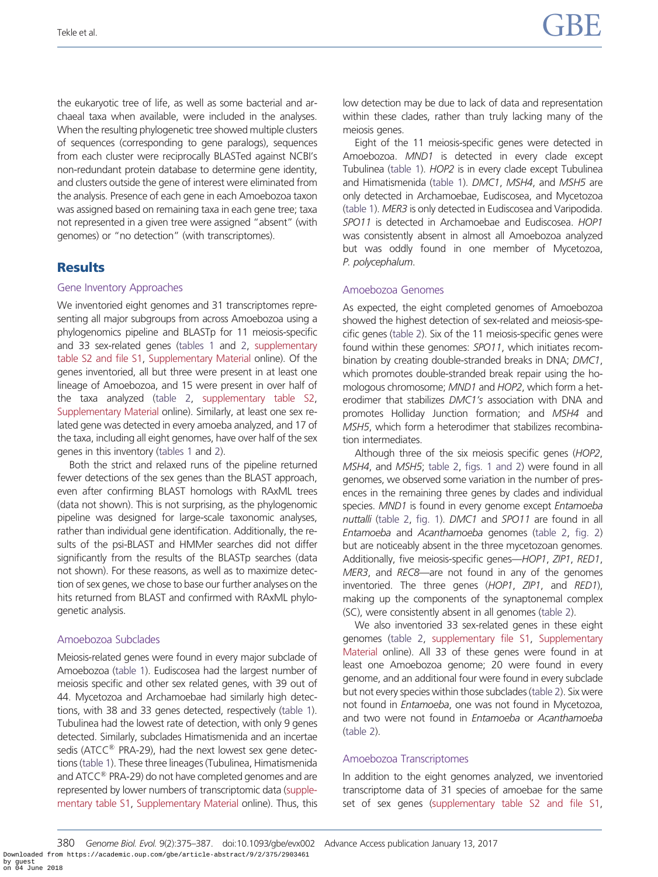the eukaryotic tree of life, as well as some bacterial and archaeal taxa when available, were included in the analyses. When the resulting phylogenetic tree showed multiple clusters of sequences (corresponding to gene paralogs), sequences from each cluster were reciprocally BLASTed against NCBI's non-redundant protein database to determine gene identity, and clusters outside the gene of interest were eliminated from the analysis. Presence of each gene in each Amoebozoa taxon was assigned based on remaining taxa in each gene tree; taxa not represented in a given tree were assigned "absent" (with genomes) or "no detection" (with transcriptomes).

## **Results**

#### Gene Inventory Approaches

We inventoried eight genomes and 31 transcriptomes representing all major subgroups from across Amoebozoa using a phylogenomics pipeline and BLASTp for 11 meiosis-specific and 33 sex-related genes [\(tables 1](#page-4-0) and [2](#page-5-0), [supplementary](http://gbe.oxfordjournals.org/lookup/suppl/doi:10.1093/gbe/evx002/-/DC1) [table S2 and file S1,](http://gbe.oxfordjournals.org/lookup/suppl/doi:10.1093/gbe/evx002/-/DC1) [Supplementary Material](http://gbe.oxfordjournals.org/lookup/suppl/doi:10.1093/gbe/evx002/-/DC1) online). Of the genes inventoried, all but three were present in at least one lineage of Amoebozoa, and 15 were present in over half of the taxa analyzed ([table 2,](#page-5-0) [supplementary table S2,](http://gbe.oxfordjournals.org/lookup/suppl/doi:10.1093/gbe/evx002/-/DC1) [Supplementary Material](http://gbe.oxfordjournals.org/lookup/suppl/doi:10.1093/gbe/evx002/-/DC1) online). Similarly, at least one sex related gene was detected in every amoeba analyzed, and 17 of the taxa, including all eight genomes, have over half of the sex genes in this inventory [\(tables 1](#page-4-0) and [2](#page-5-0)).

Both the strict and relaxed runs of the pipeline returned fewer detections of the sex genes than the BLAST approach, even after confirming BLAST homologs with RAxML trees (data not shown). This is not surprising, as the phylogenomic pipeline was designed for large-scale taxonomic analyses, rather than individual gene identification. Additionally, the results of the psi-BLAST and HMMer searches did not differ significantly from the results of the BLASTp searches (data not shown). For these reasons, as well as to maximize detection of sex genes, we chose to base our further analyses on the hits returned from BLAST and confirmed with RAxML phylogenetic analysis.

#### Amoebozoa Subclades

Meiosis-related genes were found in every major subclade of Amoebozoa [\(table 1](#page-4-0)). Eudiscosea had the largest number of meiosis specific and other sex related genes, with 39 out of 44. Mycetozoa and Archamoebae had similarly high detections, with 38 and 33 genes detected, respectively [\(table 1](#page-4-0)). Tubulinea had the lowest rate of detection, with only 9 genes detected. Similarly, subclades Himatismenida and an incertae sedis (ATCC $^{\circledR}$  PRA-29), had the next lowest sex gene detections [\(table 1](#page-4-0)). These three lineages (Tubulinea, Himatismenida and ATCC<sup>®</sup> PRA-29) do not have completed genomes and are represented by lower numbers of transcriptomic data [\(supple](http://gbe.oxfordjournals.org/lookup/suppl/doi:10.1093/gbe/evx002/-/DC1)[mentary table S1](http://gbe.oxfordjournals.org/lookup/suppl/doi:10.1093/gbe/evx002/-/DC1), [Supplementary Material](http://gbe.oxfordjournals.org/lookup/suppl/doi:10.1093/gbe/evx002/-/DC1) online). Thus, this

low detection may be due to lack of data and representation within these clades, rather than truly lacking many of the meiosis genes.

Eight of the 11 meiosis-specific genes were detected in Amoebozoa. MND1 is detected in every clade except Tubulinea ([table 1\)](#page-4-0). HOP2 is in every clade except Tubulinea and Himatismenida ([table 1](#page-4-0)). DMC1, MSH4, and MSH5 are only detected in Archamoebae, Eudiscosea, and Mycetozoa ([table 1\)](#page-4-0). MER3 is only detected in Eudiscosea and Varipodida. SPO11 is detected in Archamoebae and Eudiscosea. HOP1 was consistently absent in almost all Amoebozoa analyzed but was oddly found in one member of Mycetozoa, P. polycephalum.

#### Amoebozoa Genomes

As expected, the eight completed genomes of Amoebozoa showed the highest detection of sex-related and meiosis-specific genes [\(table 2\)](#page-5-0). Six of the 11 meiosis-specific genes were found within these genomes: SPO11, which initiates recombination by creating double-stranded breaks in DNA; DMC1, which promotes double-stranded break repair using the homologous chromosome; MND1 and HOP2, which form a heterodimer that stabilizes DMC1's association with DNA and promotes Holliday Junction formation; and MSH4 and MSH5, which form a heterodimer that stabilizes recombination intermediates.

Although three of the six meiosis specific genes (HOP2, MSH4, and MSH5; [table 2](#page-5-0), [figs. 1 and 2](#page-7-0)) were found in all genomes, we observed some variation in the number of presences in the remaining three genes by clades and individual species. MND1 is found in every genome except Entamoeba nuttalli ([table 2](#page-5-0), [fig. 1](#page-7-0)). DMC1 and SPO11 are found in all Entamoeba and Acanthamoeba genomes ([table 2](#page-5-0), [fig. 2](#page-8-0)) but are noticeably absent in the three mycetozoan genomes. Additionally, five meiosis-specific genes—HOP1, ZIP1, RED1, MER3, and REC8—are not found in any of the genomes inventoried. The three genes (HOP1, ZIP1, and RED1), making up the components of the synaptonemal complex (SC), were consistently absent in all genomes [\(table 2\)](#page-5-0).

We also inventoried 33 sex-related genes in these eight genomes ([table 2](#page-5-0), [supplementary file S1,](http://gbe.oxfordjournals.org/lookup/suppl/doi:10.1093/gbe/evx002/-/DC1) [Supplementary](http://gbe.oxfordjournals.org/lookup/suppl/doi:10.1093/gbe/evx002/-/DC1) [Material](http://gbe.oxfordjournals.org/lookup/suppl/doi:10.1093/gbe/evx002/-/DC1) online). All 33 of these genes were found in at least one Amoebozoa genome; 20 were found in every genome, and an additional four were found in every subclade but not every species within those subclades [\(table 2](#page-5-0)). Six were not found in Entamoeba, one was not found in Mycetozoa, and two were not found in Entamoeba or Acanthamoeba ([table 2\)](#page-5-0).

#### Amoebozoa Transcriptomes

In addition to the eight genomes analyzed, we inventoried transcriptome data of 31 species of amoebae for the same set of sex genes [\(supplementary table S2 and file S1](http://gbe.oxfordjournals.org/lookup/suppl/doi:10.1093/gbe/evx002/-/DC1),

380 Genome Biol. Evol. 9(2):375–387. doi:10.1093/gbe/evx002 Advance Access publication January 13, 2017 Downloaded from https://academic.oup.com/gbe/article-abstract/9/2/375/2903461 by guest on 04 June 2018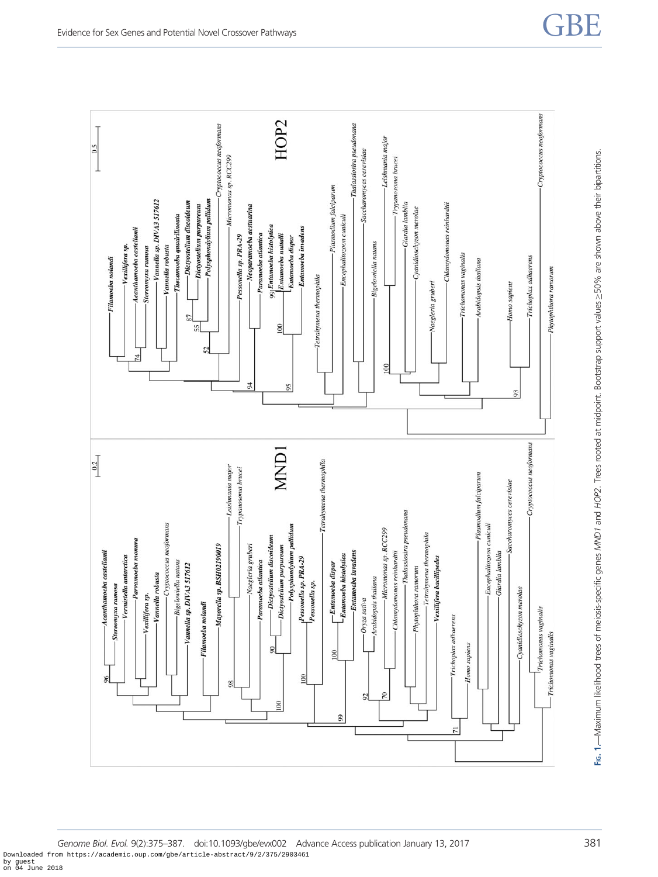<span id="page-7-0"></span>

Genome Biol. Evol. 9(2):375-387. doi:10.1093/gbe/evx002 Advance Access publication January 13, 2017 381 Downloaded from https://academic.oup.com/gbe/article-abstract/9/2/375/2903461 by guest on 04 June 2018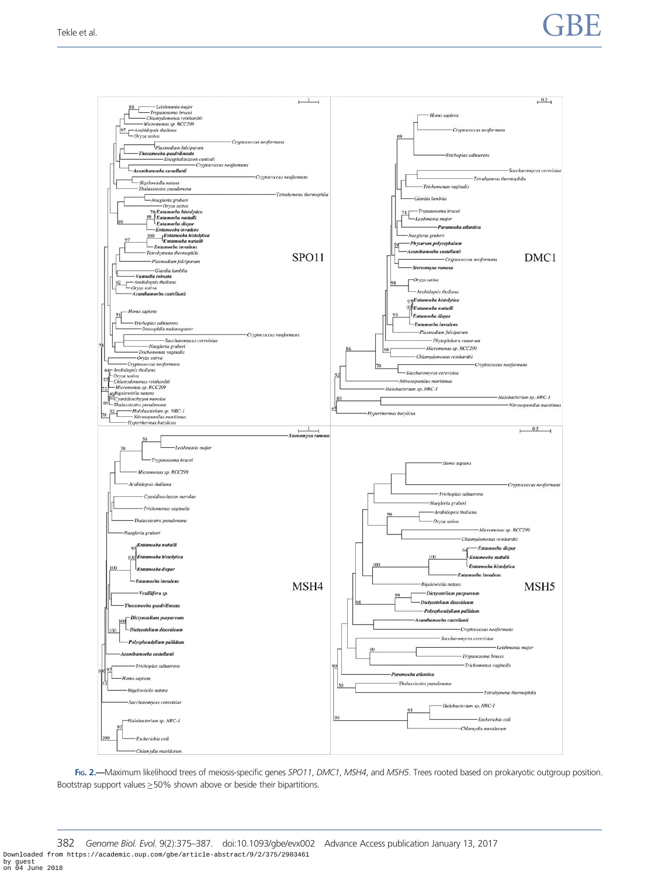# <span id="page-8-0"></span>Tekle et al.  $\begin{array}{ccc} \text{7B} & \text{8b} \end{array}$



FIG. 2.—Maximum likelihood trees of meiosis-specific genes SPO11, DMC1, MSH4, and MSH5. Trees rooted based on prokaryotic outgroup position. Bootstrap support values  $\geq$  50% shown above or beside their bipartitions.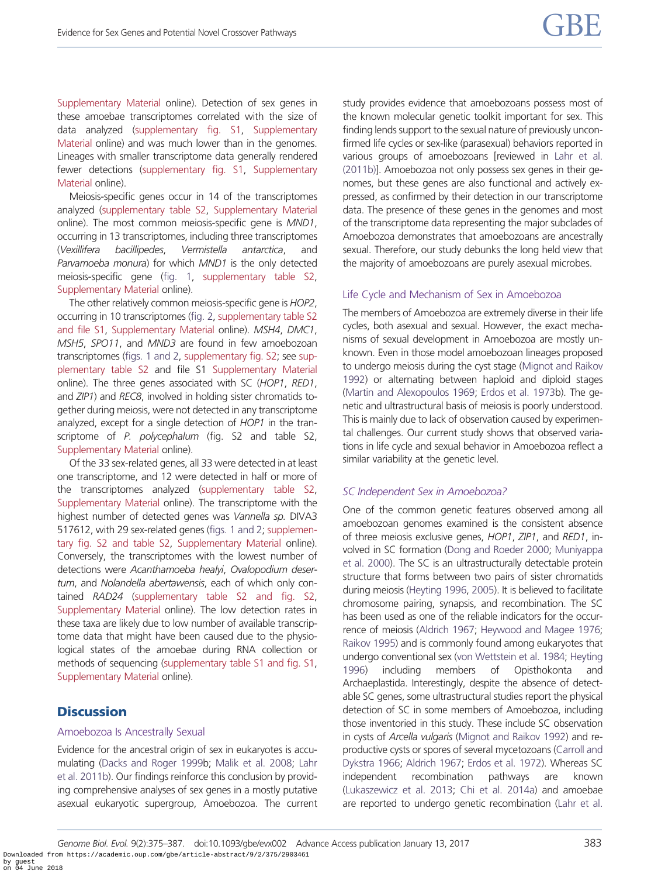[Supplementary Material](http://gbe.oxfordjournals.org/lookup/suppl/doi:10.1093/gbe/evx002/-/DC1) online). Detection of sex genes in these amoebae transcriptomes correlated with the size of data analyzed [\(supplementary fig. S1](http://gbe.oxfordjournals.org/lookup/suppl/doi:10.1093/gbe/evx002/-/DC1), [Supplementary](http://gbe.oxfordjournals.org/lookup/suppl/doi:10.1093/gbe/evx002/-/DC1) [Material](http://gbe.oxfordjournals.org/lookup/suppl/doi:10.1093/gbe/evx002/-/DC1) online) and was much lower than in the genomes. Lineages with smaller transcriptome data generally rendered fewer detections [\(supplementary fig. S1](http://gbe.oxfordjournals.org/lookup/suppl/doi:10.1093/gbe/evx002/-/DC1), [Supplementary](http://gbe.oxfordjournals.org/lookup/suppl/doi:10.1093/gbe/evx002/-/DC1) [Material](http://gbe.oxfordjournals.org/lookup/suppl/doi:10.1093/gbe/evx002/-/DC1) online).

Meiosis-specific genes occur in 14 of the transcriptomes analyzed [\(supplementary table S2,](http://gbe.oxfordjournals.org/lookup/suppl/doi:10.1093/gbe/evx002/-/DC1) [Supplementary Material](http://gbe.oxfordjournals.org/lookup/suppl/doi:10.1093/gbe/evx002/-/DC1) online). The most common meiosis-specific gene is MND1, occurring in 13 transcriptomes, including three transcriptomes (Vexillifera bacillipedes, Vermistella antarctica, and Parvamoeba monura) for which MND1 is the only detected meiosis-specific gene [\(fig. 1](#page-7-0), [supplementary table S2,](http://gbe.oxfordjournals.org/lookup/suppl/doi:10.1093/gbe/evx002/-/DC1) [Supplementary Material](http://gbe.oxfordjournals.org/lookup/suppl/doi:10.1093/gbe/evx002/-/DC1) online).

The other relatively common meiosis-specific gene is HOP2, occurring in 10 transcriptomes [\(fig. 2,](#page-8-0) [supplementary table S2](http://gbe.oxfordjournals.org/lookup/suppl/doi:10.1093/gbe/evx002/-/DC1) [and file S1,](http://gbe.oxfordjournals.org/lookup/suppl/doi:10.1093/gbe/evx002/-/DC1) [Supplementary Material](http://gbe.oxfordjournals.org/lookup/suppl/doi:10.1093/gbe/evx002/-/DC1) online). MSH4, DMC1, MSH5, SPO11, and MND3 are found in few amoebozoan transcriptomes [\(figs. 1 and 2,](#page-7-0) [supplementary fig. S2;](http://gbe.oxfordjournals.org/lookup/suppl/doi:10.1093/gbe/evx002/-/DC1) see [sup](http://gbe.oxfordjournals.org/lookup/suppl/doi:10.1093/gbe/evx002/-/DC1)[plementary table S2](http://gbe.oxfordjournals.org/lookup/suppl/doi:10.1093/gbe/evx002/-/DC1) and file S1 [Supplementary Material](http://gbe.oxfordjournals.org/lookup/suppl/doi:10.1093/gbe/evx002/-/DC1) online). The three genes associated with SC (HOP1, RED1, and ZIP1) and REC8, involved in holding sister chromatids together during meiosis, were not detected in any transcriptome analyzed, except for a single detection of HOP1 in the transcriptome of P. polycephalum (fig. S2 and table S2, [Supplementary Material](http://gbe.oxfordjournals.org/lookup/suppl/doi:10.1093/gbe/evx002/-/DC1) online).

Of the 33 sex-related genes, all 33 were detected in at least one transcriptome, and 12 were detected in half or more of the transcriptomes analyzed [\(supplementary table S2,](http://gbe.oxfordjournals.org/lookup/suppl/doi:10.1093/gbe/evx002/-/DC1) [Supplementary Material](http://gbe.oxfordjournals.org/lookup/suppl/doi:10.1093/gbe/evx002/-/DC1) online). The transcriptome with the highest number of detected genes was Vannella sp. DIVA3 517612, with 29 sex-related genes ([figs. 1 and 2](#page-7-0); [supplemen](http://gbe.oxfordjournals.org/lookup/suppl/doi:10.1093/gbe/evx002/-/DC1)[tary fig. S2 and table S2,](http://gbe.oxfordjournals.org/lookup/suppl/doi:10.1093/gbe/evx002/-/DC1) [Supplementary Material](http://gbe.oxfordjournals.org/lookup/suppl/doi:10.1093/gbe/evx002/-/DC1) online). Conversely, the transcriptomes with the lowest number of detections were Acanthamoeba healyi, Ovalopodium desertum, and Nolandella abertawensis, each of which only contained RAD24 [\(supplementary table S2 and fig. S2,](http://gbe.oxfordjournals.org/lookup/suppl/doi:10.1093/gbe/evx002/-/DC1) [Supplementary Material](http://gbe.oxfordjournals.org/lookup/suppl/doi:10.1093/gbe/evx002/-/DC1) online). The low detection rates in these taxa are likely due to low number of available transcriptome data that might have been caused due to the physiological states of the amoebae during RNA collection or methods of sequencing [\(supplementary table S1 and fig. S1,](http://gbe.oxfordjournals.org/lookup/suppl/doi:10.1093/gbe/evx002/-/DC1) [Supplementary Material](http://gbe.oxfordjournals.org/lookup/suppl/doi:10.1093/gbe/evx002/-/DC1) online).

## **Discussion**

#### Amoebozoa Is Ancestrally Sexual

Evidence for the ancestral origin of sex in eukaryotes is accumulating [\(Dacks and Roger 1999b](#page-12-0); [Malik et al. 2008](#page-13-0); [Lahr](#page-13-0) [et al. 2011b\)](#page-13-0). Our findings reinforce this conclusion by providing comprehensive analyses of sex genes in a mostly putative asexual eukaryotic supergroup, Amoebozoa. The current study provides evidence that amoebozoans possess most of the known molecular genetic toolkit important for sex. This finding lends support to the sexual nature of previously unconfirmed life cycles or sex-like (parasexual) behaviors reported in various groups of amoebozoans [reviewed in [Lahr et al.](#page-13-0) [\(2011b\)](#page-13-0)]. Amoebozoa not only possess sex genes in their genomes, but these genes are also functional and actively expressed, as confirmed by their detection in our transcriptome data. The presence of these genes in the genomes and most of the transcriptome data representing the major subclades of Amoebozoa demonstrates that amoebozoans are ancestrally sexual. Therefore, our study debunks the long held view that the majority of amoebozoans are purely asexual microbes.

#### Life Cycle and Mechanism of Sex in Amoebozoa

The members of Amoebozoa are extremely diverse in their life cycles, both asexual and sexual. However, the exact mechanisms of sexual development in Amoebozoa are mostly unknown. Even in those model amoebozoan lineages proposed to undergo meiosis during the cyst stage ([Mignot and Raikov](#page-13-0) [1992](#page-13-0)) or alternating between haploid and diploid stages ([Martin and Alexopoulos 1969;](#page-13-0) [Erdos et al. 1973b](#page-12-0)). The genetic and ultrastructural basis of meiosis is poorly understood. This is mainly due to lack of observation caused by experimental challenges. Our current study shows that observed variations in life cycle and sexual behavior in Amoebozoa reflect a similar variability at the genetic level.

#### SC Independent Sex in Amoebozoa?

One of the common genetic features observed among all amoebozoan genomes examined is the consistent absence of three meiosis exclusive genes, HOP1, ZIP1, and RED1, involved in SC formation [\(Dong and Roeder 2000](#page-12-0); [Muniyappa](#page-13-0) [et al. 2000](#page-13-0)). The SC is an ultrastructurally detectable protein structure that forms between two pairs of sister chromatids during meiosis [\(Heyting 1996](#page-12-0), [2005](#page-12-0)). It is believed to facilitate chromosome pairing, synapsis, and recombination. The SC has been used as one of the reliable indicators for the occurrence of meiosis [\(Aldrich 1967;](#page-12-0) [Heywood and Magee 1976](#page-12-0); [Raikov 1995\)](#page-13-0) and is commonly found among eukaryotes that undergo conventional sex [\(von Wettstein et al. 1984](#page-13-0); [Heyting](#page-12-0) [1996](#page-12-0)) including members of Opisthokonta and Archaeplastida. Interestingly, despite the absence of detectable SC genes, some ultrastructural studies report the physical detection of SC in some members of Amoebozoa, including those inventoried in this study. These include SC observation in cysts of Arcella vulgaris [\(Mignot and Raikov 1992](#page-13-0)) and reproductive cysts or spores of several mycetozoans ([Carroll and](#page-12-0) [Dykstra 1966](#page-12-0); [Aldrich 1967;](#page-12-0) [Erdos et al. 1972](#page-12-0)). Whereas SC independent recombination pathways are known ([Lukaszewicz et al. 2013;](#page-13-0) [Chi et al. 2014a\)](#page-12-0) and amoebae are reported to undergo genetic recombination [\(Lahr et al.](#page-13-0)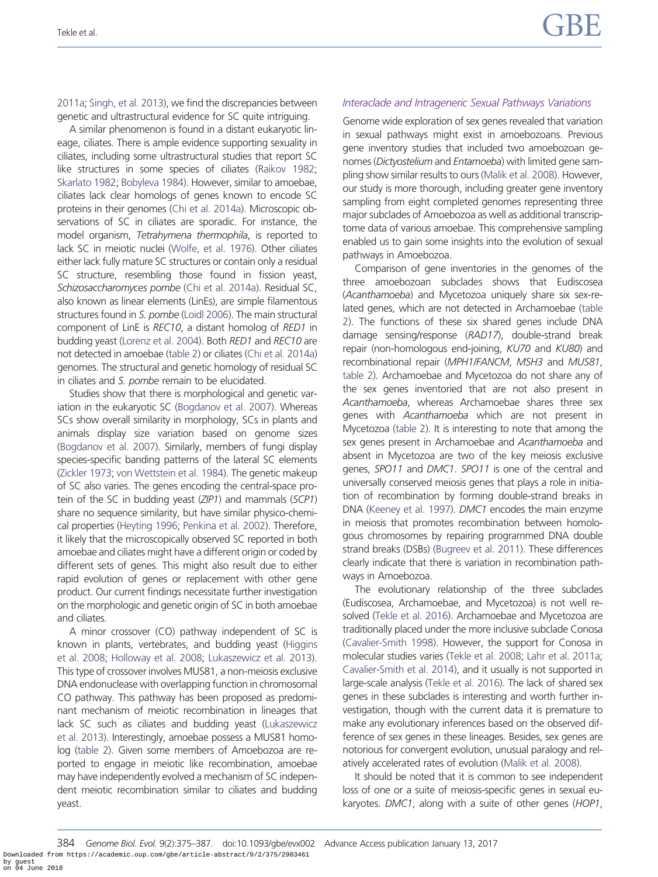[2011a](#page-13-0); [Singh, et al. 2013\)](#page-13-0), we find the discrepancies between genetic and ultrastructural evidence for SC quite intriguing.

A similar phenomenon is found in a distant eukaryotic lineage, ciliates. There is ample evidence supporting sexuality in ciliates, including some ultrastructural studies that report SC like structures in some species of ciliates ([Raikov 1982;](#page-13-0) [Skarlato 1982](#page-13-0); [Bobyleva 1984](#page-12-0)). However, similar to amoebae, ciliates lack clear homologs of genes known to encode SC proteins in their genomes [\(Chi et al. 2014a](#page-12-0)). Microscopic observations of SC in ciliates are sporadic. For instance, the model organism, Tetrahymena thermophila, is reported to lack SC in meiotic nuclei [\(Wolfe, et al. 1976\)](#page-13-0). Other ciliates either lack fully mature SC structures or contain only a residual SC structure, resembling those found in fission yeast, Schizosaccharomyces pombe ([Chi et al. 2014a\)](#page-12-0). Residual SC, also known as linear elements (LinEs), are simple filamentous structures found in S. pombe ([Loidl 2006\)](#page-13-0). The main structural component of LinE is REC10, a distant homolog of RED1 in budding yeast ([Lorenz et al. 2004\)](#page-13-0). Both RED1 and REC10 are not detected in amoebae [\(table 2](#page-5-0)) or ciliates [\(Chi et al. 2014a\)](#page-12-0) genomes. The structural and genetic homology of residual SC in ciliates and S. pombe remain to be elucidated.

Studies show that there is morphological and genetic variation in the eukaryotic SC [\(Bogdanov et al. 2007\)](#page-12-0). Whereas SCs show overall similarity in morphology, SCs in plants and animals display size variation based on genome sizes [\(Bogdanov et al. 2007\)](#page-12-0). Similarly, members of fungi display species-specific banding patterns of the lateral SC elements [\(Zickler 1973;](#page-13-0) [von Wettstein et al. 1984](#page-13-0)). The genetic makeup of SC also varies. The genes encoding the central-space protein of the SC in budding yeast (ZIP1) and mammals (SCP1) share no sequence similarity, but have similar physico-chemical properties [\(Heyting 1996;](#page-12-0) [Penkina et al. 2002](#page-13-0)). Therefore, it likely that the microscopically observed SC reported in both amoebae and ciliates might have a different origin or coded by different sets of genes. This might also result due to either rapid evolution of genes or replacement with other gene product. Our current findings necessitate further investigation on the morphologic and genetic origin of SC in both amoebae and ciliates.

A minor crossover (CO) pathway independent of SC is known in plants, vertebrates, and budding yeast [\(Higgins](#page-12-0) [et al. 2008;](#page-12-0) [Holloway et al. 2008;](#page-12-0) [Lukaszewicz et al. 2013](#page-13-0)). This type of crossover involves MUS81, a non-meiosis exclusive DNA endonuclease with overlapping function in chromosomal CO pathway. This pathway has been proposed as predominant mechanism of meiotic recombination in lineages that lack SC such as ciliates and budding yeast [\(Lukaszewicz](#page-13-0) [et al. 2013\)](#page-13-0). Interestingly, amoebae possess a MUS81 homolog [\(table 2](#page-5-0)). Given some members of Amoebozoa are reported to engage in meiotic like recombination, amoebae may have independently evolved a mechanism of SC independent meiotic recombination similar to ciliates and budding yeast.

#### Interaclade and Intrageneric Sexual Pathways Variations

Genome wide exploration of sex genes revealed that variation in sexual pathways might exist in amoebozoans. Previous gene inventory studies that included two amoebozoan genomes (Dictyostelium and Entamoeba) with limited gene sampling show similar results to ours [\(Malik et al. 2008\)](#page-13-0). However, our study is more thorough, including greater gene inventory sampling from eight completed genomes representing three major subclades of Amoebozoa as well as additional transcriptome data of various amoebae. This comprehensive sampling enabled us to gain some insights into the evolution of sexual pathways in Amoebozoa.

Comparison of gene inventories in the genomes of the three amoebozoan subclades shows that Eudiscosea (Acanthamoeba) and Mycetozoa uniquely share six sex-related genes, which are not detected in Archamoebae [\(table](#page-5-0) [2](#page-5-0)). The functions of these six shared genes include DNA damage sensing/response (RAD17), double-strand break repair (non-homologous end-joining, KU70 and KU80) and recombinational repair (MPH1/FANCM, MSH3 and MUS81, [table 2\)](#page-5-0). Archamoebae and Mycetozoa do not share any of the sex genes inventoried that are not also present in Acanthamoeba, whereas Archamoebae shares three sex genes with Acanthamoeba which are not present in Mycetozoa [\(table 2](#page-5-0)). It is interesting to note that among the sex genes present in Archamoebae and Acanthamoeba and absent in Mycetozoa are two of the key meiosis exclusive genes, SPO11 and DMC1. SPO11 is one of the central and universally conserved meiosis genes that plays a role in initiation of recombination by forming double-strand breaks in DNA [\(Keeney et al. 1997\)](#page-12-0). DMC1 encodes the main enzyme in meiosis that promotes recombination between homologous chromosomes by repairing programmed DNA double strand breaks (DSBs) ([Bugreev et al. 2011](#page-12-0)). These differences clearly indicate that there is variation in recombination pathways in Amoebozoa.

The evolutionary relationship of the three subclades (Eudiscosea, Archamoebae, and Mycetozoa) is not well resolved [\(Tekle et al. 2016\)](#page-13-0). Archamoebae and Mycetozoa are traditionally placed under the more inclusive subclade Conosa ([Cavalier-Smith 1998](#page-12-0)). However, the support for Conosa in molecular studies varies ([Tekle et al. 2008;](#page-13-0) [Lahr et al. 2011a](#page-13-0); [Cavalier-Smith et al. 2014](#page-12-0)), and it usually is not supported in large-scale analysis [\(Tekle et al. 2016](#page-13-0)). The lack of shared sex genes in these subclades is interesting and worth further investigation, though with the current data it is premature to make any evolutionary inferences based on the observed difference of sex genes in these lineages. Besides, sex genes are notorious for convergent evolution, unusual paralogy and relatively accelerated rates of evolution [\(Malik et al. 2008](#page-13-0)).

It should be noted that it is common to see independent loss of one or a suite of meiosis-specific genes in sexual eukaryotes. DMC1, along with a suite of other genes (HOP1,

<sup>384</sup> Genome Biol. Evol. 9(2):375–387. doi:10.1093/gbe/evx002 Advance Access publication January 13, 2017 Downloaded from https://academic.oup.com/gbe/article-abstract/9/2/375/2903461 by guest on 04 June 2018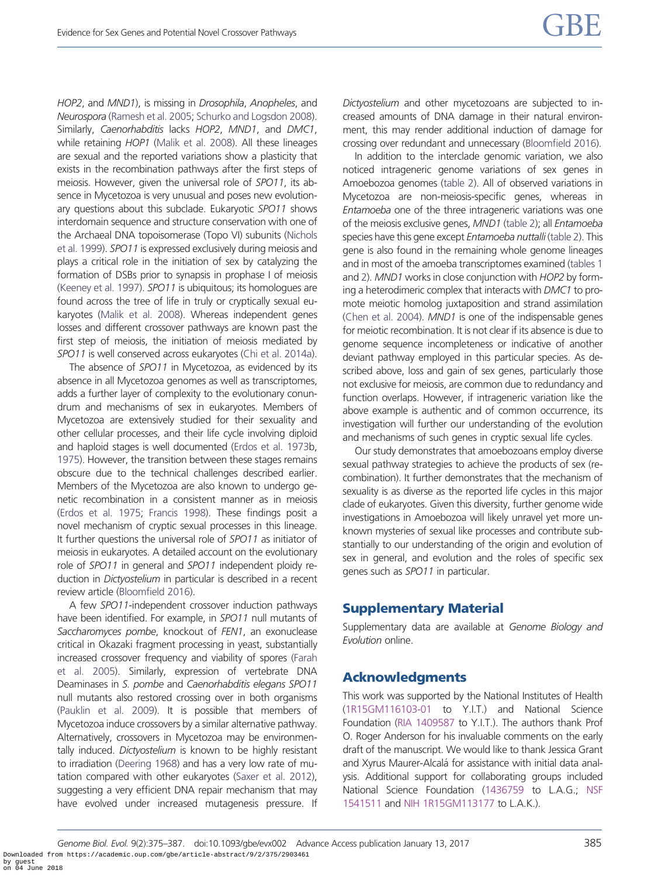HOP2, and MND1), is missing in Drosophila, Anopheles, and Neurospora ([Ramesh et al. 2005](#page-13-0); [Schurko and Logsdon 2008](#page-13-0)). Similarly, Caenorhabditis lacks HOP2, MND1, and DMC1, while retaining HOP1 ([Malik et al. 2008](#page-13-0)). All these lineages are sexual and the reported variations show a plasticity that exists in the recombination pathways after the first steps of meiosis. However, given the universal role of SPO11, its absence in Mycetozoa is very unusual and poses new evolutionary questions about this subclade. Eukaryotic SPO11 shows interdomain sequence and structure conservation with one of the Archaeal DNA topoisomerase (Topo VI) subunits [\(Nichols](#page-13-0) [et al. 1999](#page-13-0)). SPO11 is expressed exclusively during meiosis and plays a critical role in the initiation of sex by catalyzing the formation of DSBs prior to synapsis in prophase I of meiosis [\(Keeney et al. 1997](#page-12-0)). SPO11 is ubiquitous; its homologues are found across the tree of life in truly or cryptically sexual eukaryotes [\(Malik et al. 2008\)](#page-13-0). Whereas independent genes losses and different crossover pathways are known past the first step of meiosis, the initiation of meiosis mediated by SPO11 is well conserved across eukaryotes [\(Chi et al. 2014a](#page-12-0)).

The absence of SPO11 in Mycetozoa, as evidenced by its absence in all Mycetozoa genomes as well as transcriptomes, adds a further layer of complexity to the evolutionary conundrum and mechanisms of sex in eukaryotes. Members of Mycetozoa are extensively studied for their sexuality and other cellular processes, and their life cycle involving diploid and haploid stages is well documented [\(Erdos et al. 1973b](#page-12-0), [1975\)](#page-12-0). However, the transition between these stages remains obscure due to the technical challenges described earlier. Members of the Mycetozoa are also known to undergo genetic recombination in a consistent manner as in meiosis [\(Erdos et al. 1975](#page-12-0); [Francis 1998](#page-12-0)). These findings posit a novel mechanism of cryptic sexual processes in this lineage. It further questions the universal role of SPO11 as initiator of meiosis in eukaryotes. A detailed account on the evolutionary role of SPO11 in general and SPO11 independent ploidy reduction in Dictyostelium in particular is described in a recent review article [\(Bloomfield 2016\)](#page-12-0).

A few SPO11-independent crossover induction pathways have been identified. For example, in SPO11 null mutants of Saccharomyces pombe, knockout of FEN1, an exonuclease critical in Okazaki fragment processing in yeast, substantially increased crossover frequency and viability of spores [\(Farah](#page-12-0) [et al. 2005\)](#page-12-0). Similarly, expression of vertebrate DNA Deaminases in S. pombe and Caenorhabditis elegans SPO11 null mutants also restored crossing over in both organisms [\(Pauklin et al. 2009\)](#page-13-0). It is possible that members of Mycetozoa induce crossovers by a similar alternative pathway. Alternatively, crossovers in Mycetozoa may be environmentally induced. Dictyostelium is known to be highly resistant to irradiation [\(Deering 1968](#page-12-0)) and has a very low rate of mutation compared with other eukaryotes ([Saxer et al. 2012](#page-13-0)), suggesting a very efficient DNA repair mechanism that may have evolved under increased mutagenesis pressure. If Dictyostelium and other mycetozoans are subjected to increased amounts of DNA damage in their natural environment, this may render additional induction of damage for crossing over redundant and unnecessary ([Bloomfield 2016\)](#page-12-0).

In addition to the interclade genomic variation, we also noticed intrageneric genome variations of sex genes in Amoebozoa genomes ([table 2\)](#page-5-0). All of observed variations in Mycetozoa are non-meiosis-specific genes, whereas in Entamoeba one of the three intrageneric variations was one of the meiosis exclusive genes, MND1 [\(table 2](#page-5-0)); all Entamoeba species have this gene except Entamoeba nuttalli [\(table 2](#page-5-0)). This gene is also found in the remaining whole genome lineages and in most of the amoeba transcriptomes examined [\(tables 1](#page-4-0) and [2](#page-5-0)). MND1 works in close conjunction with HOP2 by forming a heterodimeric complex that interacts with DMC1 to promote meiotic homolog juxtaposition and strand assimilation ([Chen et al. 2004](#page-12-0)). MND1 is one of the indispensable genes for meiotic recombination. It is not clear if its absence is due to genome sequence incompleteness or indicative of another deviant pathway employed in this particular species. As described above, loss and gain of sex genes, particularly those not exclusive for meiosis, are common due to redundancy and function overlaps. However, if intrageneric variation like the above example is authentic and of common occurrence, its investigation will further our understanding of the evolution and mechanisms of such genes in cryptic sexual life cycles.

Our study demonstrates that amoebozoans employ diverse sexual pathway strategies to achieve the products of sex (recombination). It further demonstrates that the mechanism of sexuality is as diverse as the reported life cycles in this major clade of eukaryotes. Given this diversity, further genome wide investigations in Amoebozoa will likely unravel yet more unknown mysteries of sexual like processes and contribute substantially to our understanding of the origin and evolution of sex in general, and evolution and the roles of specific sex genes such as SPO11 in particular.

## Supplementary Material

Supplementary data are available at Genome Biology and Evolution online.

# Acknowledgments

This work was supported by the National Institutes of Health (1R15GM116103-01 to Y.I.T.) and National Science Foundation (RIA 1409587 to Y.I.T.). The authors thank Prof O. Roger Anderson for his invaluable comments on the early draft of the manuscript. We would like to thank Jessica Grant and Xyrus Maurer-Alcalá for assistance with initial data analysis. Additional support for collaborating groups included National Science Foundation (1436759 to L.A.G.; NSF 1541511 and NIH 1R15GM113177 to L.A.K.).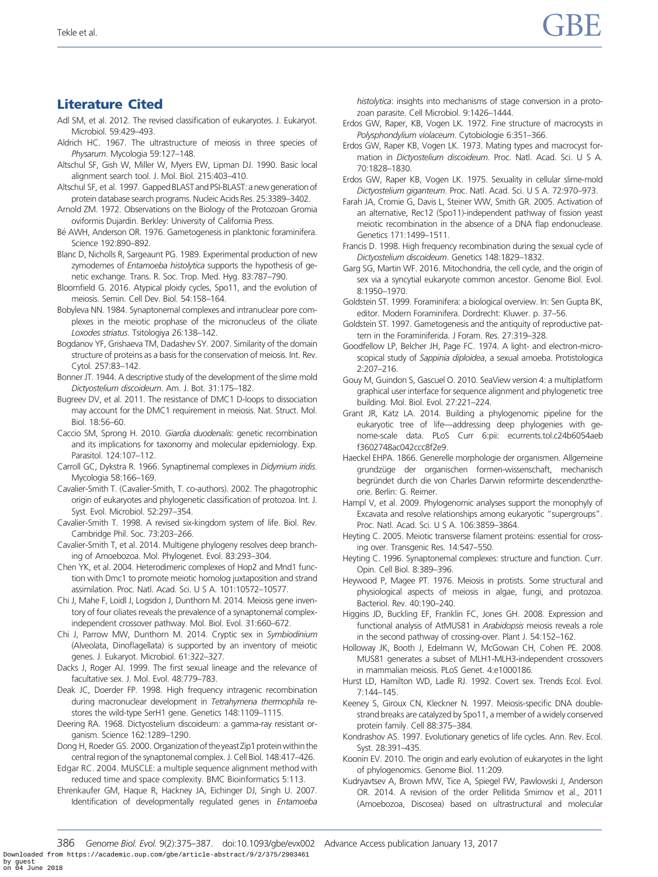# <span id="page-12-0"></span>Literature Cited

- Adl SM, et al. 2012. The revised classification of eukaryotes. J. Eukaryot. Microbiol. 59:429–493.
- Aldrich HC. 1967. The ultrastructure of meiosis in three species of Physarum. Mycologia 59:127–148.
- Altschul SF, Gish W, Miller W, Myers EW, Lipman DJ. 1990. Basic local alignment search tool. J. Mol. Biol. 215:403–410.
- Altschul SF, et al. 1997. Gapped BLAST and PSI-BLAST: a new generation of protein database search programs. Nucleic Acids Res. 25:3389–3402.
- Arnold ZM. 1972. Observations on the Biology of the Protozoan Gromia oviformis Dujardin. Berkley: University of California Press.
- Bé AWH, Anderson OR. 1976. Gametogenesis in planktonic foraminifera. Science 192:890–892.
- Blanc D, Nicholls R, Sargeaunt PG. 1989. Experimental production of new zymodemes of Entamoeba histolytica supports the hypothesis of genetic exchange. Trans. R. Soc. Trop. Med. Hyg. 83:787–790.
- Bloomfield G. 2016. Atypical ploidy cycles, Spo11, and the evolution of meiosis. Semin. Cell Dev. Biol. 54:158–164.
- Bobyleva NN. 1984. Synaptonemal complexes and intranuclear pore complexes in the meiotic prophase of the micronucleus of the ciliate Loxodes striatus. Tsitologiya 26:138–142.
- Bogdanov YF, Grishaeva TM, Dadashev SY. 2007. Similarity of the domain structure of proteins as a basis for the conservation of meiosis. Int. Rev. Cytol. 257:83–142.
- Bonner JT. 1944. A descriptive study of the development of the slime mold Dictyostelium discoideum. Am. J. Bot. 31:175–182.
- Bugreev DV, et al. 2011. The resistance of DMC1 D-loops to dissociation may account for the DMC1 requirement in meiosis. Nat. Struct. Mol. Biol. 18:56–60.
- Caccio SM, Sprong H. 2010. Giardia duodenalis: genetic recombination and its implications for taxonomy and molecular epidemiology. Exp. Parasitol. 124:107–112.
- Carroll GC, Dykstra R. 1966. Synaptinemal complexes in Didymium iridis. Mycologia 58:166–169.
- Cavalier-Smith T. (Cavalier-Smith, T. co-authors). 2002. The phagotrophic origin of eukaryotes and phylogenetic classification of protozoa. Int. J. Syst. Evol. Microbiol. 52:297–354.
- Cavalier-Smith T. 1998. A revised six-kingdom system of life. Biol. Rev. Cambridge Phil. Soc. 73:203–266.
- Cavalier-Smith T, et al. 2014. Multigene phylogeny resolves deep branching of Amoebozoa. Mol. Phylogenet. Evol. 83:293–304.
- Chen YK, et al. 2004. Heterodimeric complexes of Hop2 and Mnd1 function with Dmc1 to promote meiotic homolog juxtaposition and strand assimilation. Proc. Natl. Acad. Sci. U S A. 101:10572–10577.
- Chi J, Mahe F, Loidl J, Logsdon J, Dunthorn M. 2014. Meiosis gene inventory of four ciliates reveals the prevalence of a synaptonemal complexindependent crossover pathway. Mol. Biol. Evol. 31:660–672.
- Chi J, Parrow MW, Dunthorn M. 2014. Cryptic sex in Symbiodinium (Alveolata, Dinoflagellata) is supported by an inventory of meiotic genes. J. Eukaryot. Microbiol. 61:322–327.
- Dacks J, Roger AJ. 1999. The first sexual lineage and the relevance of facultative sex. J. Mol. Evol. 48:779–783.
- Deak JC, Doerder FP. 1998. High frequency intragenic recombination during macronuclear development in Tetrahymena thermophila restores the wild-type SerH1 gene. Genetics 148:1109–1115.
- Deering RA. 1968. Dictyostelium discoideum: a gamma-ray resistant organism. Science 162:1289–1290.
- Dong H, Roeder GS. 2000. Organization of the yeast Zip1 protein within the central region of the synaptonemal complex. J. Cell Biol. 148:417–426.
- Edgar RC. 2004. MUSCLE: a multiple sequence alignment method with reduced time and space complexity. BMC Bioinformatics 5:113.
- Ehrenkaufer GM, Haque R, Hackney JA, Eichinger DJ, Singh U. 2007. Identification of developmentally regulated genes in Entamoeba

histolytica: insights into mechanisms of stage conversion in a protozoan parasite. Cell Microbiol. 9:1426–1444.

- Erdos GW, Raper, KB, Vogen LK. 1972. Fine structure of macrocysts in Polysphondylium violaceum. Cytobiologie 6:351–366.
- Erdos GW, Raper KB, Vogen LK. 1973. Mating types and macrocyst formation in Dictyostelium discoideum. Proc. Natl. Acad. Sci. U S A. 70:1828–1830.
- Erdos GW, Raper KB, Vogen LK. 1975. Sexuality in cellular slime-mold Dictyostelium giganteum. Proc. Natl. Acad. Sci. U S A. 72:970–973.
- Farah JA, Cromie G, Davis L, Steiner WW, Smith GR. 2005. Activation of an alternative, Rec12 (Spo11)-independent pathway of fission yeast meiotic recombination in the absence of a DNA flap endonuclease. Genetics 171:1499–1511.
- Francis D. 1998. High frequency recombination during the sexual cycle of Dictyostelium discoideum. Genetics 148:1829–1832.
- Garg SG, Martin WF. 2016. Mitochondria, the cell cycle, and the origin of sex via a syncytial eukaryote common ancestor. Genome Biol. Evol. 8:1950–1970.
- Goldstein ST. 1999. Foraminifera: a biological overview. In: Sen Gupta BK, editor. Modern Foraminifera. Dordrecht: Kluwer. p. 37–56.
- Goldstein ST. 1997. Gametogenesis and the antiquity of reproductive pattern in the Foraminiferida. J Foram. Res. 27:319–328.
- Goodfellow LP, Belcher JH, Page FC. 1974. A light- and electron-microscopical study of Sappinia diploidea, a sexual amoeba. Protistologica 2:207–216.
- Gouy M, Guindon S, Gascuel O. 2010. SeaView version 4: a multiplatform graphical user interface for sequence alignment and phylogenetic tree building. Mol. Biol. Evol. 27:221–224.
- Grant JR, Katz LA. 2014. Building a phylogenomic pipeline for the eukaryotic tree of life—addressing deep phylogenies with genome-scale data. PLoS Curr 6:pii: ecurrents.tol.c24b6054aeb f3602748ac042ccc8f2e9.
- Haeckel EHPA. 1866. Generelle morphologie der organismen. Allgemeine grundzüge der organischen formen-wissenschaft, mechanisch begründet durch die von Charles Darwin reformirte descendenztheorie. Berlin: G. Reimer.
- Hampl V, et al. 2009. Phylogenomic analyses support the monophyly of Excavata and resolve relationships among eukaryotic "supergroups". Proc. Natl. Acad. Sci. U S A. 106:3859–3864.
- Heyting C. 2005. Meiotic transverse filament proteins: essential for crossing over. Transgenic Res. 14:547–550.
- Heyting C. 1996. Synaptonemal complexes: structure and function. Curr. Opin. Cell Biol. 8:389–396.
- Heywood P, Magee PT. 1976. Meiosis in protists. Some structural and physiological aspects of meiosis in algae, fungi, and protozoa. Bacteriol. Rev. 40:190–240.
- Higgins JD, Buckling EF, Franklin FC, Jones GH. 2008. Expression and functional analysis of AtMUS81 in Arabidopsis meiosis reveals a role in the second pathway of crossing-over. Plant J. 54:152–162.
- Holloway JK, Booth J, Edelmann W, McGowan CH, Cohen PE. 2008. MUS81 generates a subset of MLH1-MLH3-independent crossovers in mammalian meiosis. PLoS Genet. 4:e1000186.
- Hurst LD, Hamilton WD, Ladle RJ. 1992. Covert sex. Trends Ecol. Evol. 7:144–145.
- Keeney S, Giroux CN, Kleckner N. 1997. Meiosis-specific DNA doublestrand breaks are catalyzed by Spo11, a member of a widely conserved protein family. Cell 88:375–384.
- Kondrashov AS. 1997. Evolutionary genetics of life cycles. Ann. Rev. Ecol. Syst. 28:391–435.
- Koonin EV. 2010. The origin and early evolution of eukaryotes in the light of phylogenomics. Genome Biol. 11:209.
- Kudryavtsev A, Brown MW, Tice A, Spiegel FW, Pawlowski J, Anderson OR. 2014. A revision of the order Pellitida Smirnov et al., 2011 (Amoebozoa, Discosea) based on ultrastructural and molecular